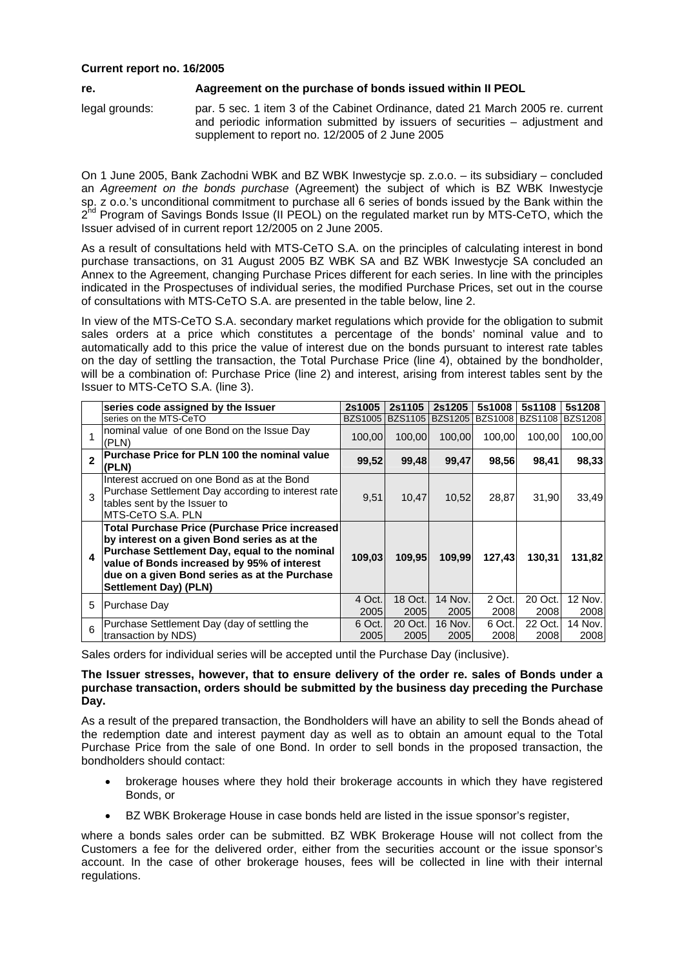## **Current report no. 16/2005**

## **re. Aagreement on the purchase of bonds issued within II PEOL**

legal grounds: par. 5 sec. 1 item 3 of the Cabinet Ordinance, dated 21 March 2005 re. current and periodic information submitted by issuers of securities – adjustment and supplement to report no. 12/2005 of 2 June 2005

On 1 June 2005, Bank Zachodni WBK and BZ WBK Inwestycje sp. z.o.o. – its subsidiary – concluded an *Agreement on the bonds purchase* (Agreement) the subject of which is BZ WBK Inwestycje sp. z o.o.'s unconditional commitment to purchase all 6 series of bonds issued by the Bank within the  $2^{nd}$  Program of Savings Bonds Issue (II PEOL) on the regulated market run by MTS-CeTO, which the Issuer advised of in current report 12/2005 on 2 June 2005.

As a result of consultations held with MTS-CeTO S.A. on the principles of calculating interest in bond purchase transactions, on 31 August 2005 BZ WBK SA and BZ WBK Inwestycje SA concluded an Annex to the Agreement, changing Purchase Prices different for each series. In line with the principles indicated in the Prospectuses of individual series, the modified Purchase Prices, set out in the course of consultations with MTS-CeTO S.A. are presented in the table below, line 2.

In view of the MTS-CeTO S.A. secondary market regulations which provide for the obligation to submit sales orders at a price which constitutes a percentage of the bonds' nominal value and to automatically add to this price the value of interest due on the bonds pursuant to interest rate tables on the day of settling the transaction, the Total Purchase Price (line 4), obtained by the bondholder, will be a combination of: Purchase Price (line 2) and interest, arising from interest tables sent by the Issuer to MTS-CeTO S.A. (line 3).

|              | series code assigned by the Issuer                                                                                                                                                                                                                                              | 2s1005         | 2s1105          | 2s1205            | 5s1008         | 5s1108          | 5s1208          |
|--------------|---------------------------------------------------------------------------------------------------------------------------------------------------------------------------------------------------------------------------------------------------------------------------------|----------------|-----------------|-------------------|----------------|-----------------|-----------------|
|              | series on the MTS-CeTO                                                                                                                                                                                                                                                          | <b>BZS1005</b> |                 | BZS1105   BZS1205 | <b>BZS1008</b> | <b>BZS1108</b>  | <b>BZS1208</b>  |
|              | nominal value of one Bond on the Issue Day<br>(PLN)                                                                                                                                                                                                                             | 100.00         | 100.00          | 100.00            | 100.00         | 100.00          | 100,00          |
| $\mathbf{z}$ | <b>Purchase Price for PLN 100 the nominal value</b><br>(PLN)                                                                                                                                                                                                                    | 99,52          | 99,48           | 99,47             | 98,56          | 98,41           | 98,33           |
| 3            | Interest accrued on one Bond as at the Bond<br>Purchase Settlement Day according to interest rate<br>tables sent by the Issuer to<br>IMTS-CeTO S.A. PLN                                                                                                                         | 9,51           | 10,47           | 10,52             | 28,87          | 31,90           | 33,49           |
| 4            | Total Purchase Price (Purchase Price increased<br>by interest on a given Bond series as at the<br>Purchase Settlement Day, equal to the nominal<br>value of Bonds increased by 95% of interest<br>due on a given Bond series as at the Purchase<br><b>Settlement Day) (PLN)</b> | 109,03         | 109.95          | 109,99            | 127,43         | 130.31          | 131,82          |
| 5            | Purchase Day                                                                                                                                                                                                                                                                    | 4 Oct.<br>2005 | 18 Oct.<br>2005 | 14 Nov.<br>2005   | 2 Oct.<br>2008 | 20 Oct.<br>2008 | 12 Nov.<br>2008 |
| 6            | Purchase Settlement Day (day of settling the                                                                                                                                                                                                                                    | 6 Oct.         | 20 Oct.         | 16 Nov.           | 6 Oct.         | 22 Oct.         | 14 Nov.         |
|              | transaction by NDS)                                                                                                                                                                                                                                                             | 2005           | 2005            | 2005              | 2008           | 2008            | 2008            |

Sales orders for individual series will be accepted until the Purchase Day (inclusive).

## **The Issuer stresses, however, that to ensure delivery of the order re. sales of Bonds under a purchase transaction, orders should be submitted by the business day preceding the Purchase Day.**

As a result of the prepared transaction, the Bondholders will have an ability to sell the Bonds ahead of the redemption date and interest payment day as well as to obtain an amount equal to the Total Purchase Price from the sale of one Bond. In order to sell bonds in the proposed transaction, the bondholders should contact:

- brokerage houses where they hold their brokerage accounts in which they have registered Bonds, or
- BZ WBK Brokerage House in case bonds held are listed in the issue sponsor's register,

where a bonds sales order can be submitted. BZ WBK Brokerage House will not collect from the Customers a fee for the delivered order, either from the securities account or the issue sponsor's account. In the case of other brokerage houses, fees will be collected in line with their internal regulations.